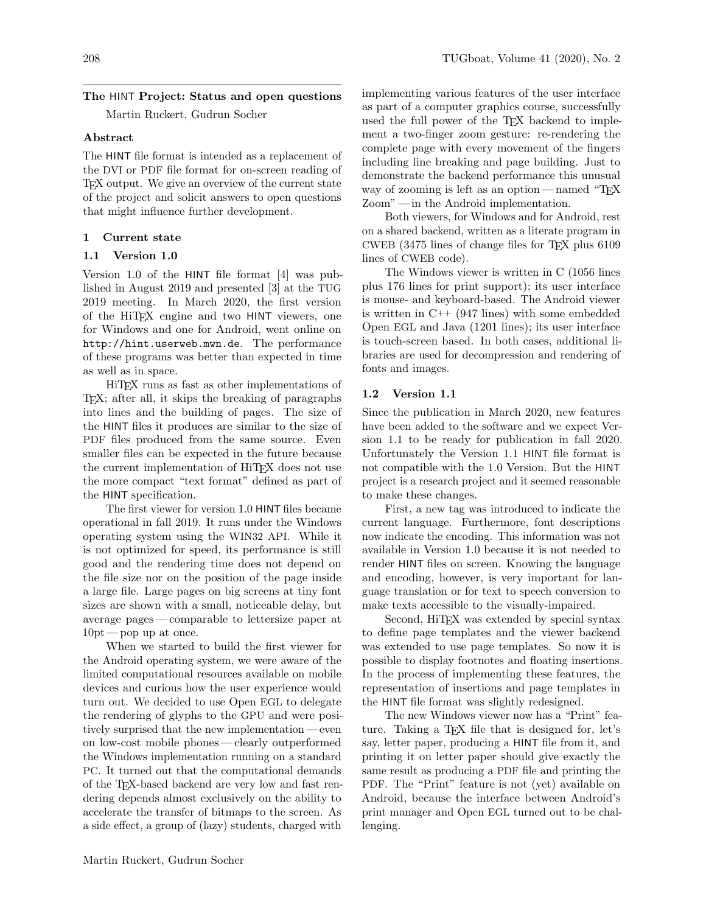# The HINT Project: Status and open questions

Martin Ruckert, Gudrun Socher

### Abstract

The HINT file format is intended as a replacement of the DVI or PDF file format for on-screen reading of TEX output. We give an overview of the current state of the project and solicit answers to open questions that might influence further development.

## 1 Current state

## 1.1 Version 1.0

Version 1.0 of the HINT file format [\[4\]](#page-3-0) was published in August 2019 and presented [\[3\]](#page-3-1) at the TUG 2019 meeting. In March 2020, the first version of the HiTEX engine and two HINT viewers, one for Windows and one for Android, went online on <http://hint.userweb.mwn.de>. The performance of these programs was better than expected in time as well as in space.

HiTEX runs as fast as other implementations of TEX; after all, it skips the breaking of paragraphs into lines and the building of pages. The size of the HINT files it produces are similar to the size of PDF files produced from the same source. Even smaller files can be expected in the future because the current implementation of HiT<sub>E</sub>X does not use the more compact "text format" defined as part of the HINT specification.

The first viewer for version 1.0 HINT files became operational in fall 2019. It runs under the Windows operating system using the WIN32 API. While it is not optimized for speed, its performance is still good and the rendering time does not depend on the file size nor on the position of the page inside a large file. Large pages on big screens at tiny font sizes are shown with a small, noticeable delay, but average pages— comparable to lettersize paper at  $10pt$  — pop up at once.

When we started to build the first viewer for the Android operating system, we were aware of the limited computational resources available on mobile devices and curious how the user experience would turn out. We decided to use Open EGL to delegate the rendering of glyphs to the GPU and were positively surprised that the new implementation — even on low-cost mobile phones— clearly outperformed the Windows implementation running on a standard PC. It turned out that the computational demands of the TEX-based backend are very low and fast rendering depends almost exclusively on the ability to accelerate the transfer of bitmaps to the screen. As a side effect, a group of (lazy) students, charged with

implementing various features of the user interface as part of a computer graphics course, successfully used the full power of the TEX backend to implement a two-finger zoom gesture: re-rendering the complete page with every movement of the fingers including line breaking and page building. Just to demonstrate the backend performance this unusual way of zooming is left as an option— named "TEX Zoom" — in the Android implementation.

Both viewers, for Windows and for Android, rest on a shared backend, written as a literate program in CWEB (3475 lines of change files for TEX plus 6109 lines of CWEB code).

The Windows viewer is written in C (1056 lines plus 176 lines for print support); its user interface is mouse- and keyboard-based. The Android viewer is written in C++ (947 lines) with some embedded Open EGL and Java (1201 lines); its user interface is touch-screen based. In both cases, additional libraries are used for decompression and rendering of fonts and images.

# 1.2 Version 1.1

Since the publication in March 2020, new features have been added to the software and we expect Version 1.1 to be ready for publication in fall 2020. Unfortunately the Version 1.1 HINT file format is not compatible with the 1.0 Version. But the HINT project is a research project and it seemed reasonable to make these changes.

First, a new tag was introduced to indicate the current language. Furthermore, font descriptions now indicate the encoding. This information was not available in Version 1.0 because it is not needed to render HINT files on screen. Knowing the language and encoding, however, is very important for language translation or for text to speech conversion to make texts accessible to the visually-impaired.

Second, HiT<sub>EX</sub> was extended by special syntax to define page templates and the viewer backend was extended to use page templates. So now it is possible to display footnotes and floating insertions. In the process of implementing these features, the representation of insertions and page templates in the HINT file format was slightly redesigned.

The new Windows viewer now has a "Print" feature. Taking a T<sub>E</sub>X file that is designed for, let's say, letter paper, producing a HINT file from it, and printing it on letter paper should give exactly the same result as producing a PDF file and printing the PDF. The "Print" feature is not (yet) available on Android, because the interface between Android's print manager and Open EGL turned out to be challenging.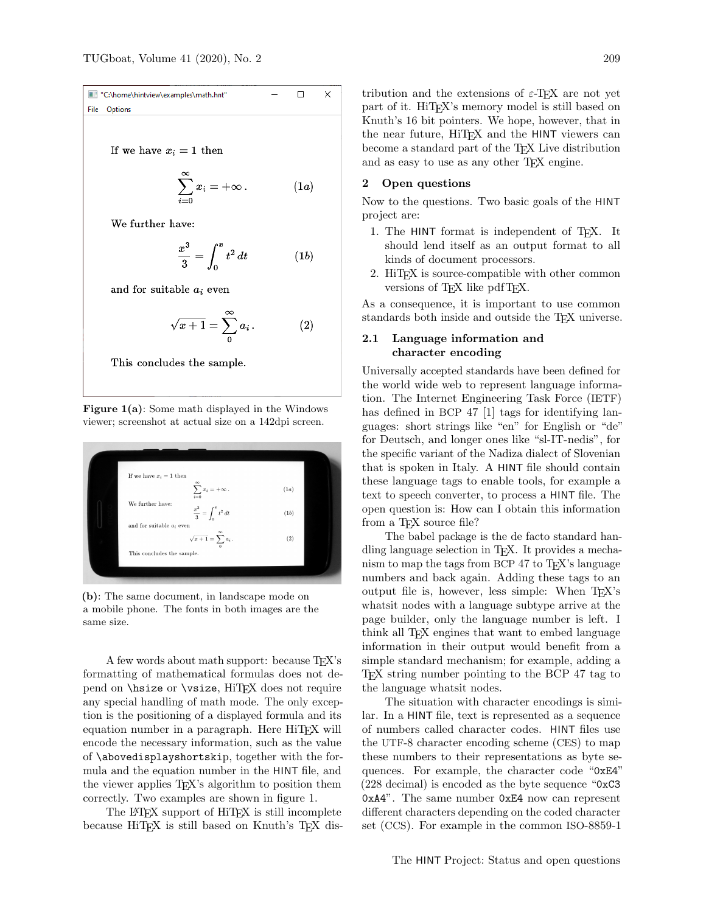If we have  $x_i = 1$  then

$$
\sum_{i=0}^{\infty} x_i = +\infty \, . \tag{1a}
$$

We further have:

$$
\frac{x^3}{3} = \int_0^x t^2 dt
$$
 (1b)

and for suitable  $a_i$  even

$$
\sqrt{x+1} = \sum_{0}^{\infty} a_i \,. \tag{2}
$$

This concludes the sample.

Figure 1(a): Some math displayed in the Windows viewer; screenshot at actual size on a 142dpi screen.



(b): The same document, in landscape mode on a mobile phone. The fonts in both images are the same size.

A few words about math support: because T<sub>E</sub>X's formatting of mathematical formulas does not depend on  $\hbar$  is the or  $\psi$ , HiTEX does not require any special handling of math mode. The only exception is the positioning of a displayed formula and its equation number in a paragraph. Here HiT<sub>E</sub>X will encode the necessary information, such as the value of \abovedisplayshortskip, together with the formula and the equation number in the HINT file, and the viewer applies T<sub>EX</sub>'s algorithm to position them correctly. Two examples are shown in figure 1.

The LAT<sub>EX</sub> support of HiT<sub>EX</sub> is still incomplete because HiTEX is still based on Knuth's TEX distribution and the extensions of  $\varepsilon$ -T<sub>E</sub>X are not yet part of it. HiT<sub>E</sub>X's memory model is still based on Knuth's 16 bit pointers. We hope, however, that in the near future, HiTFX and the HINT viewers can become a standard part of the TEX Live distribution and as easy to use as any other TEX engine.

### 2 Open questions

Now to the questions. Two basic goals of the HINT project are:

- 1. The HINT format is independent of TEX. It should lend itself as an output format to all kinds of document processors.
- 2. HiTEX is source-compatible with other common versions of TFX like pdfTFX.

As a consequence, it is important to use common standards both inside and outside the TEX universe.

## 2.1 Language information and character encoding

Universally accepted standards have been defined for the world wide web to represent language information. The Internet Engineering Task Force (IETF) has defined in BCP 47 [\[1\]](#page-3-2) tags for identifying languages: short strings like "en" for English or "de" for Deutsch, and longer ones like "sl-IT-nedis", for the specific variant of the Nadiza dialect of Slovenian that is spoken in Italy. A HINT file should contain these language tags to enable tools, for example a text to speech converter, to process a HINT file. The open question is: How can I obtain this information from a T<sub>F</sub>X source file?

The babel package is the de facto standard handling language selection in TEX. It provides a mechanism to map the tags from BCP 47 to TEX's language numbers and back again. Adding these tags to an output file is, however, less simple: When T<sub>EX</sub>'s whatsit nodes with a language subtype arrive at the page builder, only the language number is left. I think all TFX engines that want to embed language information in their output would benefit from a simple standard mechanism; for example, adding a T<sub>F</sub>X string number pointing to the BCP 47 tag to the language whatsit nodes.

The situation with character encodings is similar. In a HINT file, text is represented as a sequence of numbers called character codes. HINT files use the UTF-8 character encoding scheme (CES) to map these numbers to their representations as byte sequences. For example, the character code "0xE4" (228 decimal) is encoded as the byte sequence "0xC3 0xA4". The same number 0xE4 now can represent different characters depending on the coded character set (CCS). For example in the common ISO-8859-1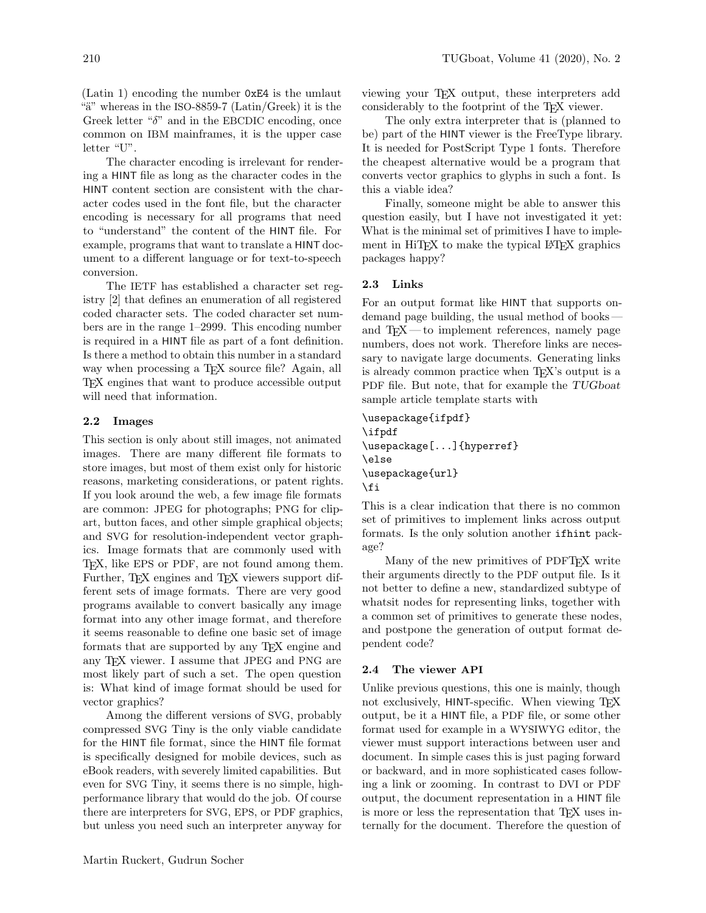(Latin 1) encoding the number 0xE4 is the umlaut "a" whereas in the ISO-8859-7 (Latin/Greek) it is the Greek letter " $\delta$ " and in the EBCDIC encoding, once common on IBM mainframes, it is the upper case letter "U".

The character encoding is irrelevant for rendering a HINT file as long as the character codes in the HINT content section are consistent with the character codes used in the font file, but the character encoding is necessary for all programs that need to "understand" the content of the HINT file. For example, programs that want to translate a HINT document to a different language or for text-to-speech conversion.

The IETF has established a character set registry [\[2\]](#page-3-3) that defines an enumeration of all registered coded character sets. The coded character set numbers are in the range 1–2999. This encoding number is required in a HINT file as part of a font definition. Is there a method to obtain this number in a standard way when processing a T<sub>EX</sub> source file? Again, all TEX engines that want to produce accessible output will need that information.

#### 2.2 Images

This section is only about still images, not animated images. There are many different file formats to store images, but most of them exist only for historic reasons, marketing considerations, or patent rights. If you look around the web, a few image file formats are common: JPEG for photographs; PNG for clipart, button faces, and other simple graphical objects; and SVG for resolution-independent vector graphics. Image formats that are commonly used with TEX, like EPS or PDF, are not found among them. Further, T<sub>EX</sub> engines and T<sub>EX</sub> viewers support different sets of image formats. There are very good programs available to convert basically any image format into any other image format, and therefore it seems reasonable to define one basic set of image formats that are supported by any TEX engine and any TEX viewer. I assume that JPEG and PNG are most likely part of such a set. The open question is: What kind of image format should be used for vector graphics?

Among the different versions of SVG, probably compressed SVG Tiny is the only viable candidate for the HINT file format, since the HINT file format is specifically designed for mobile devices, such as eBook readers, with severely limited capabilities. But even for SVG Tiny, it seems there is no simple, highperformance library that would do the job. Of course there are interpreters for SVG, EPS, or PDF graphics, but unless you need such an interpreter anyway for

viewing your TEX output, these interpreters add considerably to the footprint of the TEX viewer.

The only extra interpreter that is (planned to be) part of the HINT viewer is the FreeType library. It is needed for PostScript Type 1 fonts. Therefore the cheapest alternative would be a program that converts vector graphics to glyphs in such a font. Is this a viable idea?

Finally, someone might be able to answer this question easily, but I have not investigated it yet: What is the minimal set of primitives I have to implement in HiTFX to make the typical L<sup>AT</sup>FX graphics packages happy?

### 2.3 Links

For an output format like HINT that supports ondemand page building, the usual method of books and TEX— to implement references, namely page numbers, does not work. Therefore links are necessary to navigate large documents. Generating links is already common practice when TEX's output is a PDF file. But note, that for example the TUGboat sample article template starts with

\usepackage{ifpdf} \ifpdf \usepackage[...]{hyperref} \else \usepackage{url} \fi

This is a clear indication that there is no common set of primitives to implement links across output formats. Is the only solution another ifhint package?

Many of the new primitives of PDFTEX write their arguments directly to the PDF output file. Is it not better to define a new, standardized subtype of whatsit nodes for representing links, together with a common set of primitives to generate these nodes, and postpone the generation of output format dependent code?

#### 2.4 The viewer API

Unlike previous questions, this one is mainly, though not exclusively, HINT-specific. When viewing TEX output, be it a HINT file, a PDF file, or some other format used for example in a WYSIWYG editor, the viewer must support interactions between user and document. In simple cases this is just paging forward or backward, and in more sophisticated cases following a link or zooming. In contrast to DVI or PDF output, the document representation in a HINT file is more or less the representation that T<sub>E</sub>X uses internally for the document. Therefore the question of